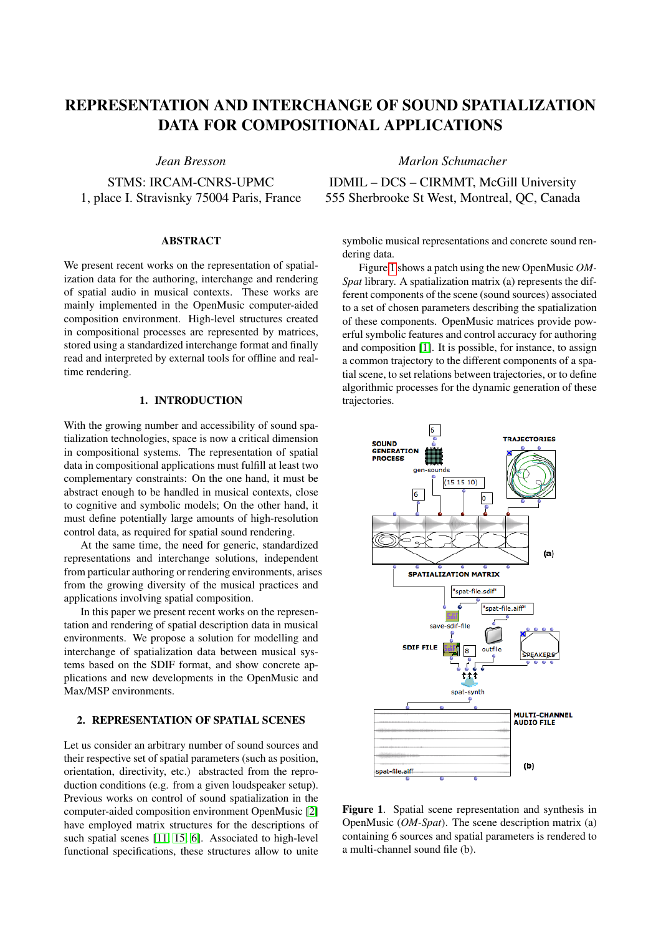# REPRESENTATION AND INTERCHANGE OF SOUND SPATIALIZATION DATA FOR COMPOSITIONAL APPLICATIONS

# *Jean Bresson*

STMS: IRCAM-CNRS-UPMC 1, place I. Stravisnky 75004 Paris, France

# ABSTRACT

We present recent works on the representation of spatialization data for the authoring, interchange and rendering of spatial audio in musical contexts. These works are mainly implemented in the OpenMusic computer-aided composition environment. High-level structures created in compositional processes are represented by matrices, stored using a standardized interchange format and finally read and interpreted by external tools for offline and realtime rendering.

# 1. INTRODUCTION

With the growing number and accessibility of sound spatialization technologies, space is now a critical dimension in compositional systems. The representation of spatial data in compositional applications must fulfill at least two complementary constraints: On the one hand, it must be abstract enough to be handled in musical contexts, close to cognitive and symbolic models; On the other hand, it must define potentially large amounts of high-resolution control data, as required for spatial sound rendering.

At the same time, the need for generic, standardized representations and interchange solutions, independent from particular authoring or rendering environments, arises from the growing diversity of the musical practices and applications involving spatial composition.

In this paper we present recent works on the representation and rendering of spatial description data in musical environments. We propose a solution for modelling and interchange of spatialization data between musical systems based on the SDIF format, and show concrete applications and new developments in the OpenMusic and Max/MSP environments.

# <span id="page-0-1"></span>2. REPRESENTATION OF SPATIAL SCENES

Let us consider an arbitrary number of sound sources and their respective set of spatial parameters (such as position, orientation, directivity, etc.) abstracted from the reproduction conditions (e.g. from a given loudspeaker setup). Previous works on control of sound spatialization in the computer-aided composition environment OpenMusic [\[2\]](#page-4-0) have employed matrix structures for the descriptions of such spatial scenes [\[11,](#page-4-1) [15,](#page-4-2) [6\]](#page-4-3). Associated to high-level functional specifications, these structures allow to unite *Marlon Schumacher*

IDMIL – DCS – CIRMMT, McGill University 555 Sherbrooke St West, Montreal, QC, Canada

symbolic musical representations and concrete sound rendering data.

Figure [1](#page-0-0) shows a patch using the new OpenMusic *OM-Spat* library. A spatialization matrix (a) represents the different components of the scene (sound sources) associated to a set of chosen parameters describing the spatialization of these components. OpenMusic matrices provide powerful symbolic features and control accuracy for authoring and composition [\[1\]](#page-4-4). It is possible, for instance, to assign a common trajectory to the different components of a spatial scene, to set relations between trajectories, or to define algorithmic processes for the dynamic generation of these trajectories.

<span id="page-0-0"></span>

Figure 1. Spatial scene representation and synthesis in OpenMusic (*OM-Spat*). The scene description matrix (a) containing 6 sources and spatial parameters is rendered to a multi-channel sound file (b).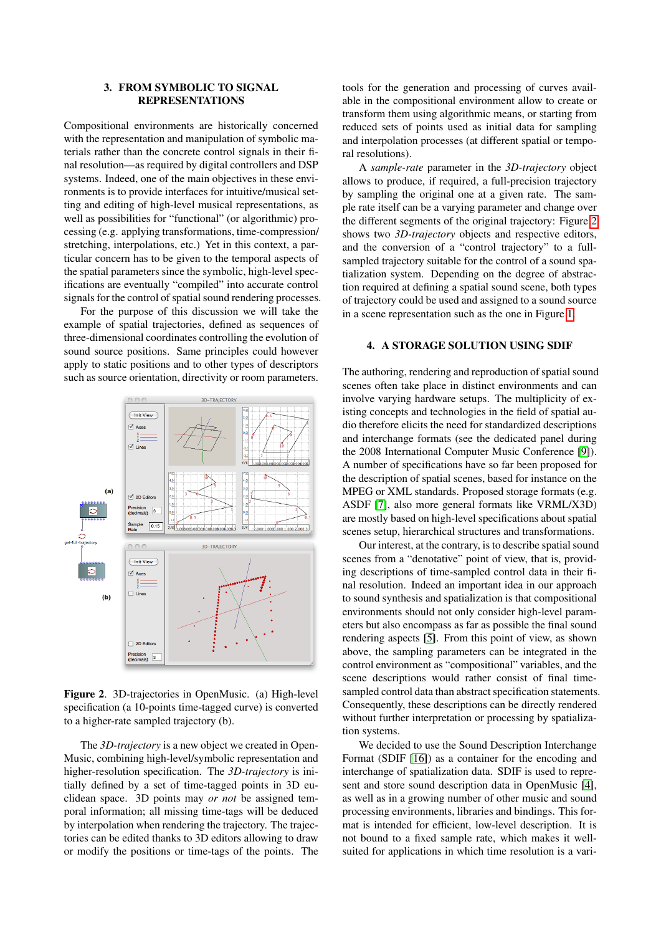## 3. FROM SYMBOLIC TO SIGNAL REPRESENTATIONS

Compositional environments are historically concerned with the representation and manipulation of symbolic materials rather than the concrete control signals in their final resolution—as required by digital controllers and DSP systems. Indeed, one of the main objectives in these environments is to provide interfaces for intuitive/musical setting and editing of high-level musical representations, as well as possibilities for "functional" (or algorithmic) processing (e.g. applying transformations, time-compression/ stretching, interpolations, etc.) Yet in this context, a particular concern has to be given to the temporal aspects of the spatial parameters since the symbolic, high-level specifications are eventually "compiled" into accurate control signals for the control of spatial sound rendering processes.

For the purpose of this discussion we will take the example of spatial trajectories, defined as sequences of three-dimensional coordinates controlling the evolution of sound source positions. Same principles could however apply to static positions and to other types of descriptors such as source orientation, directivity or room parameters.

<span id="page-1-0"></span>

Figure 2. 3D-trajectories in OpenMusic. (a) High-level specification (a 10-points time-tagged curve) is converted to a higher-rate sampled trajectory (b).

The *3D-trajectory* is a new object we created in Open-Music, combining high-level/symbolic representation and higher-resolution specification. The *3D-trajectory* is initially defined by a set of time-tagged points in 3D euclidean space. 3D points may *or not* be assigned temporal information; all missing time-tags will be deduced by interpolation when rendering the trajectory. The trajectories can be edited thanks to 3D editors allowing to draw or modify the positions or time-tags of the points. The tools for the generation and processing of curves available in the compositional environment allow to create or transform them using algorithmic means, or starting from reduced sets of points used as initial data for sampling and interpolation processes (at different spatial or temporal resolutions).

A *sample-rate* parameter in the *3D-trajectory* object allows to produce, if required, a full-precision trajectory by sampling the original one at a given rate. The sample rate itself can be a varying parameter and change over the different segments of the original trajectory: Figure [2](#page-1-0) shows two *3D-trajectory* objects and respective editors, and the conversion of a "control trajectory" to a fullsampled trajectory suitable for the control of a sound spatialization system. Depending on the degree of abstraction required at defining a spatial sound scene, both types of trajectory could be used and assigned to a sound source in a scene representation such as the one in Figure [1.](#page-0-0)

### 4. A STORAGE SOLUTION USING SDIF

The authoring, rendering and reproduction of spatial sound scenes often take place in distinct environments and can involve varying hardware setups. The multiplicity of existing concepts and technologies in the field of spatial audio therefore elicits the need for standardized descriptions and interchange formats (see the dedicated panel during the 2008 International Computer Music Conference [\[9\]](#page-4-5)). A number of specifications have so far been proposed for the description of spatial scenes, based for instance on the MPEG or XML standards. Proposed storage formats (e.g. ASDF [\[7\]](#page-4-6), also more general formats like VRML/X3D) are mostly based on high-level specifications about spatial scenes setup, hierarchical structures and transformations.

Our interest, at the contrary, is to describe spatial sound scenes from a "denotative" point of view, that is, providing descriptions of time-sampled control data in their final resolution. Indeed an important idea in our approach to sound synthesis and spatialization is that compositional environments should not only consider high-level parameters but also encompass as far as possible the final sound rendering aspects [\[5\]](#page-4-7). From this point of view, as shown above, the sampling parameters can be integrated in the control environment as "compositional" variables, and the scene descriptions would rather consist of final timesampled control data than abstract specification statements. Consequently, these descriptions can be directly rendered without further interpretation or processing by spatialization systems.

We decided to use the Sound Description Interchange Format (SDIF [\[16\]](#page-4-8)) as a container for the encoding and interchange of spatialization data. SDIF is used to represent and store sound description data in OpenMusic [\[4\]](#page-4-9), as well as in a growing number of other music and sound processing environments, libraries and bindings. This format is intended for efficient, low-level description. It is not bound to a fixed sample rate, which makes it wellsuited for applications in which time resolution is a vari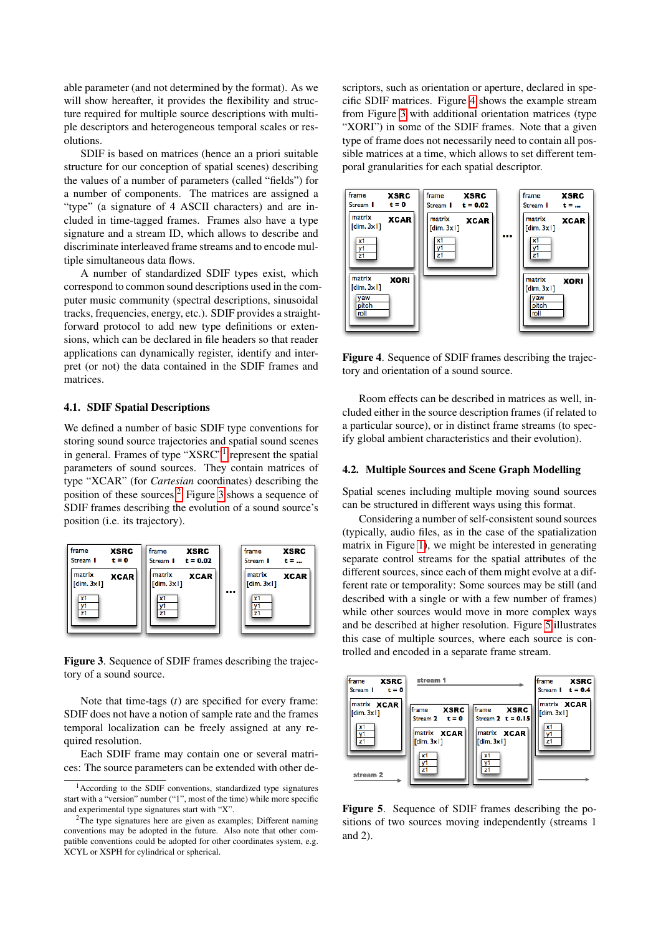able parameter (and not determined by the format). As we will show hereafter, it provides the flexibility and structure required for multiple source descriptions with multiple descriptors and heterogeneous temporal scales or resolutions.

SDIF is based on matrices (hence an a priori suitable structure for our conception of spatial scenes) describing the values of a number of parameters (called "fields") for a number of components. The matrices are assigned a "type" (a signature of 4 ASCII characters) and are included in time-tagged frames. Frames also have a type signature and a stream ID, which allows to describe and discriminate interleaved frame streams and to encode multiple simultaneous data flows.

A number of standardized SDIF types exist, which correspond to common sound descriptions used in the computer music community (spectral descriptions, sinusoidal tracks, frequencies, energy, etc.). SDIF provides a straightforward protocol to add new type definitions or extensions, which can be declared in file headers so that reader applications can dynamically register, identify and interpret (or not) the data contained in the SDIF frames and matrices.

#### 4.1. SDIF Spatial Descriptions

We defined a number of basic SDIF type conventions for storing sound source trajectories and spatial sound scenes in general. Frames of type "XSRC"<sup>[1](#page-2-0)</sup> represent the spatial parameters of sound sources. They contain matrices of type "XCAR" (for *Cartesian* coordinates) describing the position of these sources.<sup>[2](#page-2-1)</sup> Figure [3](#page-2-2) shows a sequence of SDIF frames describing the evolution of a sound source's position (i.e. its trajectory).

<span id="page-2-2"></span>

Figure 3. Sequence of SDIF frames describing the trajectory of a sound source.

Note that time-tags (*t*) are specified for every frame: SDIF does not have a notion of sample rate and the frames temporal localization can be freely assigned at any required resolution.

Each SDIF frame may contain one or several matrices: The source parameters can be extended with other descriptors, such as orientation or aperture, declared in specific SDIF matrices. Figure [4](#page-2-3) shows the example stream from Figure [3](#page-2-2) with additional orientation matrices (type "XORI") in some of the SDIF frames. Note that a given type of frame does not necessarily need to contain all possible matrices at a time, which allows to set different temporal granularities for each spatial descriptor.

<span id="page-2-3"></span>

Figure 4. Sequence of SDIF frames describing the trajectory and orientation of a sound source.

Room effects can be described in matrices as well, included either in the source description frames (if related to a particular source), or in distinct frame streams (to specify global ambient characteristics and their evolution).

#### 4.2. Multiple Sources and Scene Graph Modelling

Spatial scenes including multiple moving sound sources can be structured in different ways using this format.

Considering a number of self-consistent sound sources (typically, audio files, as in the case of the spatialization matrix in Figure [1\)](#page-0-0), we might be interested in generating separate control streams for the spatial attributes of the different sources, since each of them might evolve at a different rate or temporality: Some sources may be still (and described with a single or with a few number of frames) while other sources would move in more complex ways and be described at higher resolution. Figure [5](#page-2-4) illustrates this case of multiple sources, where each source is controlled and encoded in a separate frame stream.

<span id="page-2-4"></span>

Figure 5. Sequence of SDIF frames describing the positions of two sources moving independently (streams 1 and 2).

<span id="page-2-0"></span><sup>1</sup>According to the SDIF conventions, standardized type signatures start with a "version" number ("1", most of the time) while more specific and experimental type signatures start with "X".

<span id="page-2-1"></span><sup>&</sup>lt;sup>2</sup>The type signatures here are given as examples; Different naming conventions may be adopted in the future. Also note that other compatible conventions could be adopted for other coordinates system, e.g. XCYL or XSPH for cylindrical or spherical.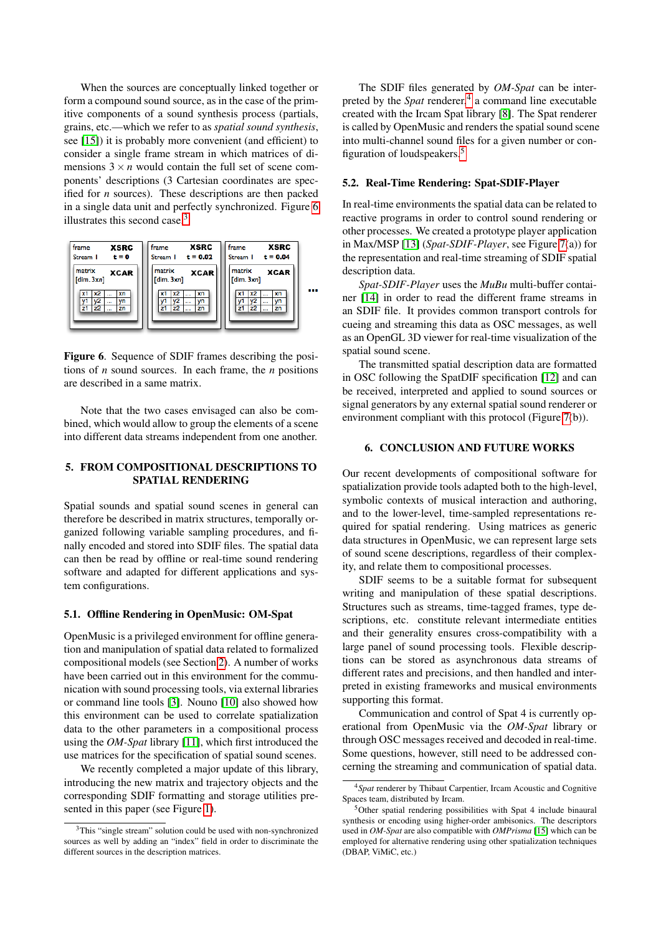When the sources are conceptually linked together or form a compound sound source, as in the case of the primitive components of a sound synthesis process (partials, grains, etc.—which we refer to as *spatial sound synthesis*, see [\[15\]](#page-4-2)) it is probably more convenient (and efficient) to consider a single frame stream in which matrices of dimensions  $3 \times n$  would contain the full set of scene components' descriptions (3 Cartesian coordinates are specified for *n* sources). These descriptions are then packed in a single data unit and perfectly synchronized. Figure [6](#page-3-0) illustrates this second case.<sup>[3](#page-3-1)</sup>

<span id="page-3-0"></span>

Figure 6. Sequence of SDIF frames describing the positions of *n* sound sources. In each frame, the *n* positions are described in a same matrix.

Note that the two cases envisaged can also be combined, which would allow to group the elements of a scene into different data streams independent from one another.

## 5. FROM COMPOSITIONAL DESCRIPTIONS TO SPATIAL RENDERING

Spatial sounds and spatial sound scenes in general can therefore be described in matrix structures, temporally organized following variable sampling procedures, and finally encoded and stored into SDIF files. The spatial data can then be read by offline or real-time sound rendering software and adapted for different applications and system configurations.

#### 5.1. Offline Rendering in OpenMusic: OM-Spat

OpenMusic is a privileged environment for offline generation and manipulation of spatial data related to formalized compositional models (see Section [2\)](#page-0-1). A number of works have been carried out in this environment for the communication with sound processing tools, via external libraries or command line tools [\[3\]](#page-4-10). Nouno [\[10\]](#page-4-11) also showed how this environment can be used to correlate spatialization data to the other parameters in a compositional process using the *OM-Spat* library [\[11\]](#page-4-1), which first introduced the use matrices for the specification of spatial sound scenes.

We recently completed a major update of this library, introducing the new matrix and trajectory objects and the corresponding SDIF formatting and storage utilities presented in this paper (see Figure [1\)](#page-0-0).

The SDIF files generated by *OM-Spat* can be interpreted by the *Spat* renderer,<sup>[4](#page-3-2)</sup> a command line executable created with the Ircam Spat library [\[8\]](#page-4-12). The Spat renderer is called by OpenMusic and renders the spatial sound scene into multi-channel sound files for a given number or configuration of loudspeakers.[5](#page-3-3)

#### 5.2. Real-Time Rendering: Spat-SDIF-Player

In real-time environments the spatial data can be related to reactive programs in order to control sound rendering or other processes. We created a prototype player application in Max/MSP [\[13\]](#page-4-13) (*Spat-SDIF-Player*, see Figure [7\(](#page-4-14)a)) for the representation and real-time streaming of SDIF spatial description data.

*Spat-SDIF-Player* uses the *MuBu* multi-buffer container [\[14\]](#page-4-15) in order to read the different frame streams in an SDIF file. It provides common transport controls for cueing and streaming this data as OSC messages, as well as an OpenGL 3D viewer for real-time visualization of the spatial sound scene.

The transmitted spatial description data are formatted in OSC following the SpatDIF specification [\[12\]](#page-4-16) and can be received, interpreted and applied to sound sources or signal generators by any external spatial sound renderer or environment compliant with this protocol (Figure [7\(](#page-4-14)b)).

#### 6. CONCLUSION AND FUTURE WORKS

Our recent developments of compositional software for spatialization provide tools adapted both to the high-level, symbolic contexts of musical interaction and authoring, and to the lower-level, time-sampled representations required for spatial rendering. Using matrices as generic data structures in OpenMusic, we can represent large sets of sound scene descriptions, regardless of their complexity, and relate them to compositional processes.

SDIF seems to be a suitable format for subsequent writing and manipulation of these spatial descriptions. Structures such as streams, time-tagged frames, type descriptions, etc. constitute relevant intermediate entities and their generality ensures cross-compatibility with a large panel of sound processing tools. Flexible descriptions can be stored as asynchronous data streams of different rates and precisions, and then handled and interpreted in existing frameworks and musical environments supporting this format.

Communication and control of Spat 4 is currently operational from OpenMusic via the *OM-Spat* library or through OSC messages received and decoded in real-time. Some questions, however, still need to be addressed concerning the streaming and communication of spatial data.

<span id="page-3-1"></span><sup>&</sup>lt;sup>3</sup>This "single stream" solution could be used with non-synchronized sources as well by adding an "index" field in order to discriminate the different sources in the description matrices.

<span id="page-3-2"></span><sup>4</sup>*Spat* renderer by Thibaut Carpentier, Ircam Acoustic and Cognitive Spaces team, distributed by Ircam.

<span id="page-3-3"></span><sup>5</sup>Other spatial rendering possibilities with Spat 4 include binaural synthesis or encoding using higher-order ambisonics. The descriptors used in *OM-Spat* are also compatible with *OMPrisma* [\[15\]](#page-4-2) which can be employed for alternative rendering using other spatialization techniques (DBAP, ViMiC, etc.)